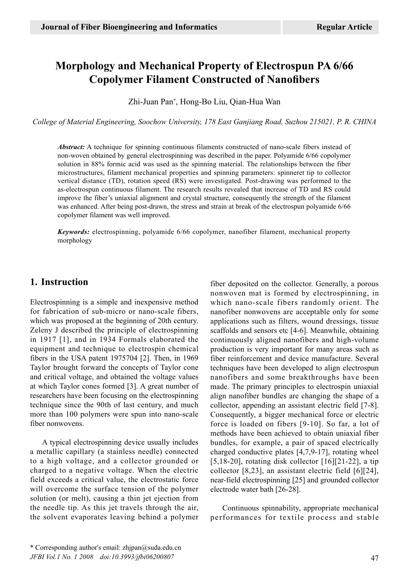# **Morphology and Mechanical Property of Electrospun PA 6/66 Copolymer Filament Constructed of Nanofibers**

Zhi-Juan Pan\* , Hong-Bo Liu, Qian-Hua Wan

*College of Material Engineering, Soochow University, 178 East Ganjiang Road, Suzhou 215021, P. R. CHINA*

*Abstract:* A technique for spinning continuous filaments constructed of nano-scale fibers instead of non-woven obtained by general electrospinning was described in the paper. Polyamide 6/66 copolymer solution in 88% formic acid was used as the spinning material. The relationships between the fiber microstructures, filament mechanical properties and spinning parameters: spinneret tip to collector vertical distance (TD), rotation speed (RS) were investigated. Post-drawing was performed to the as-electrospun continuous filament. The research results revealed that increase of TD and RS could improve the fiber's uniaxial alignment and crystal structure, consequently the strength of the filament was enhanced. After being post-drawn, the stress and strain at break of the electrospun polyamide 6/66 copolymer filament was well improved.

*Keywords:* electrospinning, polyamide 6/66 copolymer, nanofiber filament, mechanical property morphology

## **1. Instruction**

Electrospinning is a simple and inexpensive method for fabrication of sub-micro or nano-scale fibers, which was proposed at the beginning of 20th century. Zeleny J described the principle of electrospinning in 1917 [1], and in 1934 Formals elaborated the equipment and technique to electrospin chemical fibers in the USA patent 1975704 [2]. Then, in 1969 Taylor brought forward the concepts of Taylor cone and critical voltage, and obtained the voltage values at which Taylor cones formed [3]. A great number of researchers have been focusing on the electrospinning technique since the 90th of last century, and much more than 100 polymers were spun into nano-scale fiber nonwovens.

A typical electrospinning device usually includes a metallic capillary (a stainless needle) connected to a high voltage, and a collector grounded or charged to a negative voltage. When the electric field exceeds a critical value, the electrostatic force will overcome the surface tension of the polymer solution (or melt), causing a thin jet ejection from the needle tip. As this jet travels through the air, the solvent evaporates leaving behind a polymer fiber deposited on the collector. Generally, a porous nonwoven mat is formed by electrospinning, in which nano-scale fibers randomly orient. The nanofiber nonwovens are acceptable only for some applications such as filters, wound dressings, tissue scaffolds and sensors etc [4-6]. Meanwhile, obtaining continuously aligned nanofibers and high-volume production is very important for many areas such as fiber reinforcement and device manufacture. Several techniques have been developed to align electrospun nanofibers and some breakthroughs have been made. The primary principles to electrospin uniaxial align nanofiber bundles are changing the shape of a collector, appending an assistant electric field [7-8]. Consequently, a bigger mechanical force or electric force is loaded on fibers [9-10]. So far, a lot of methods have been achieved to obtain uniaxial fiber bundles, for example, a pair of spaced electrically charged conductive plates [4,7,9-17], rotating wheel [5,18-20], rotating disk collector  $[16][21-22]$ , a tip collector [8,23], an assistant electric field [6][24], near-field electrospinning [25] and grounded collector electrode water bath [26-28].

Continuous spinnability, appropriate mechanical performances for textile process and stable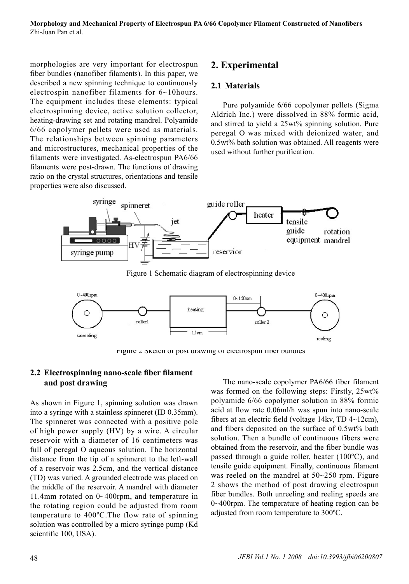morphologies are very important for electrospun fiber bundles (nanofiber filaments). In this paper, we described a new spinning technique to continuously electrospin nanofiber filaments for 6~10hours. The equipment includes these elements: typical electrospinning device, active solution collector, heating-drawing set and rotating mandrel. Polyamide 6/66 copolymer pellets were used as materials. The relationships between spinning parameters and microstructures, mechanical properties of the filaments were investigated. As-electrospun PA6/66 filaments were post-drawn. The functions of drawing ratio on the crystal structures, orientations and tensile properties were also discussed.

# **2. Experimental**

## **2.1 Materials**

Pure polyamide 6/66 copolymer pellets (Sigma Aldrich Inc.) were dissolved in 88% formic acid, and stirred to yield a 25wt% spinning solution. Pure peregal O was mixed with deionized water, and 0.5wt% bath solution was obtained. All reagents were used without further purification.



Figure 1 Schematic diagram of electrospinning device



Figure 2 Sketch of post drawing of electrospun fiber bundles

## **2.2 Electrospinning nano-scale fiber filament and post drawing**

As shown in Figure 1, spinning solution was drawn into a syringe with a stainless spinneret (ID 0.35mm). The spinneret was connected with a positive pole of high power supply (HV) by a wire. A circular reservoir with a diameter of 16 centimeters was full of peregal O aqueous solution. The horizontal distance from the tip of a spinneret to the left-wall of a reservoir was 2.5cm, and the vertical distance (TD) was varied. A grounded electrode was placed on the middle of the reservoir. A mandrel with diameter 11.4mm rotated on 0~400rpm, and temperature in the rotating region could be adjusted from room temperature to 400ºC.The flow rate of spinning solution was controlled by a micro syringe pump (Kd scientific 100, USA).

The nano-scale copolymer PA6/66 fiber filament was formed on the following steps: Firstly, 25wt% polyamide 6/66 copolymer solution in 88% formic acid at flow rate 0.06ml/h was spun into nano-scale fibers at an electric field (voltage 14kv, TD 4~12cm), and fibers deposited on the surface of 0.5wt% bath solution. Then a bundle of continuous fibers were obtained from the reservoir, and the fiber bundle was passed through a guide roller, heater (100ºC), and tensile guide equipment. Finally, continuous filament was reeled on the mandrel at 50~250 rpm. Figure 2 shows the method of post drawing electrospun fiber bundles. Both unreeling and reeling speeds are 0~400rpm. The temperature of heating region can be adjusted from room temperature to 300ºC.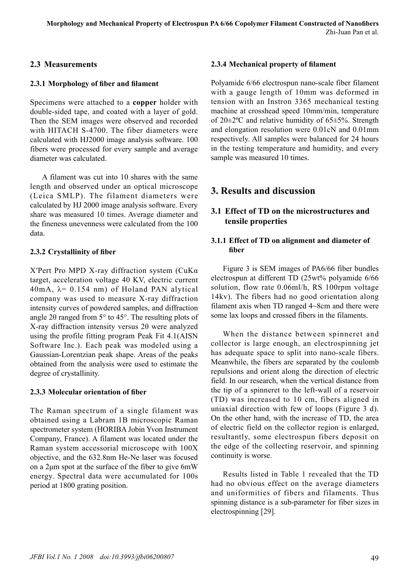## **2.3 Measurements**

## **2.3.1 Morphology of fiber and filament**

Specimens were attached to a **copper** holder with double-sided tape, and coated with a layer of gold. Then the SEM images were observed and recorded with HITACH S-4700. The fiber diameters were calculated with HJ2000 image analysis software. 100 fibers were processed for every sample and average diameter was calculated.

A filament was cut into 10 shares with the same length and observed under an optical microscope (Leica SMLP). The filament diameters were calculated by HJ 2000 image analysis software. Every share was measured 10 times. Average diameter and the fineness unevenness were calculated from the 100 data.

## **2.3.2 Crystallinity of fiber**

X′Pert Pro MPD X-ray diffraction system (CuKα target, acceleration voltage 40 KV, electric current  $40mA$ ,  $\lambda = 0.154$  nm) of Holand PAN alytical company was used to measure X-ray diffraction intensity curves of powdered samples, and diffraction angle 2θ ranged from 5° to 45°. The resulting plots of X-ray diffraction intensity versus 2θ were analyzed using the profile fitting program Peak Fit 4.1(AISN Software Inc.). Each peak was modeled using a Gaussian-Lorentzian peak shape. Areas of the peaks obtained from the analysis were used to estimate the degree of crystallinity.

## **2.3.3 Molecular orientation of fiber**

The Raman spectrum of a single filament was obtained using a Labram 1B microscopic Raman spectrometer system (HORIBA Jobin Yvon Instrument Company, France). A filament was located under the Raman system accessorial microscope with 100X objective, and the 632.8nm He-Ne laser was focused on a 2μm spot at the surface of the fiber to give 6mW energy. Spectral data were accumulated for 100s period at 1800 grating position.

## **2.3.4 Mechanical property of filament**

Polyamide 6/66 electrospun nano-scale fiber filament with a gauge length of 10mm was deformed in tension with an Instron 3365 mechanical testing machine at crosshead speed 10mm/min, temperature of  $20\pm2\degree$ C and relative humidity of 65 $\pm$ 5%. Strength and elongation resolution were 0.01cN and 0.01mm respectively. All samples were balanced for 24 hours in the testing temperature and humidity, and every sample was measured 10 times.

## **3. Results and discussion**

## **3.1 Effect of TD on the microstructures and tensile properties**

#### **3.1.1 Effect of TD on alignment and diameter of fiber**

Figure 3 is SEM images of PA6/66 fiber bundles electrospun at different TD (25wt% polyamide 6/66 solution, flow rate 0.06ml/h, RS 100rpm voltage 14kv). The fibers had no good orientation along filament axis when TD ranged 4~8cm and there were some lax loops and crossed fibers in the filaments.

When the distance between spinneret and collector is large enough, an electrospinning jet has adequate space to split into nano-scale fibers. Meanwhile, the fibers are separated by the coulomb repulsions and orient along the direction of electric field. In our research, when the vertical distance from the tip of a spinneret to the left-wall of a reservoir (TD) was increased to 10 cm, fibers aligned in uniaxial direction with few of loops (Figure 3 d). On the other hand, with the increase of TD, the area of electric field on the collector region is enlarged, resultantly, some electrospun fibers deposit on the edge of the collecting reservoir, and spinning continuity is worse.

Results listed in Table 1 revealed that the TD had no obvious effect on the average diameters and uniformities of fibers and filaments. Thus spinning distance is a sub-parameter for fiber sizes in electrospinning [29].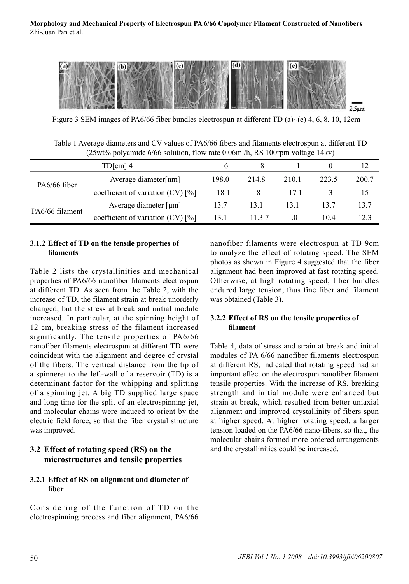

Figure 3 SEM images of PA6/66 fiber bundles electrospun at different TD (a) $\sim$ (e) 4, 6, 8, 10, 12cm

| Table 1 Average diameters and CV values of PA6/66 fibers and filaments electrospun at different TD |  |  |
|----------------------------------------------------------------------------------------------------|--|--|
| $(25wt\%$ polyamide 6/66 solution, flow rate 0.06ml/h, RS 100rpm voltage 14kv)                     |  |  |

| $TD[cm]$ 4      |                                        |       |        |          |       | 12    |
|-----------------|----------------------------------------|-------|--------|----------|-------|-------|
| PA6/66 fiber    | Average diameter[nm]                   | 198.0 | 214.8  | 210.1    | 223.5 | 200.7 |
|                 | coefficient of variation $(CV)$ [%]    | 181   | 8      | 17 1     |       | 15    |
|                 | Average diameter $\lceil \mu m \rceil$ | 13.7  | 13.1   | 13 1     | 13.7  | 13.7  |
| PA6/66 filament | coefficient of variation $(CV)$ [%]    | 13.1  | 11 3 7 | $\theta$ | 104   | 12.3  |

#### **3.1.2 Effect of TD on the tensile properties of filaments**

Table 2 lists the crystallinities and mechanical properties of PA6/66 nanofiber filaments electrospun at different TD. As seen from the Table 2, with the increase of TD, the filament strain at break unorderly changed, but the stress at break and initial module increased. In particular, at the spinning height of 12 cm, breaking stress of the filament increased significantly. The tensile properties of PA6/66 nanofiber filaments electrospun at different TD were coincident with the alignment and degree of crystal of the fibers. The vertical distance from the tip of a spinneret to the left-wall of a reservoir (TD) is a determinant factor for the whipping and splitting of a spinning jet. A big TD supplied large space and long time for the split of an electrospinning jet, and molecular chains were induced to orient by the electric field force, so that the fiber crystal structure was improved.

## **3.2 Effect of rotating speed (RS) on the microstructures and tensile properties**

## **3.2.1 Effect of RS on alignment and diameter of fiber**

Considering of the function of TD on the electrospinning process and fiber alignment, PA6/66

nanofiber filaments were electrospun at TD 9cm to analyze the effect of rotating speed. The SEM photos as shown in Figure 4 suggested that the fiber alignment had been improved at fast rotating speed. Otherwise, at high rotating speed, fiber bundles endured large tension, thus fine fiber and filament was obtained (Table 3).

#### **3.2.2 Effect of RS on the tensile properties of filament**

Table 4, data of stress and strain at break and initial modules of PA 6/66 nanofiber filaments electrospun at different RS, indicated that rotating speed had an important effect on the electrospun nanofiber filament tensile properties. With the increase of RS, breaking strength and initial module were enhanced but strain at break, which resulted from better uniaxial alignment and improved crystallinity of fibers spun at higher speed. At higher rotating speed, a larger tension loaded on the PA6/66 nano-fibers, so that, the molecular chains formed more ordered arrangements and the crystallinities could be increased.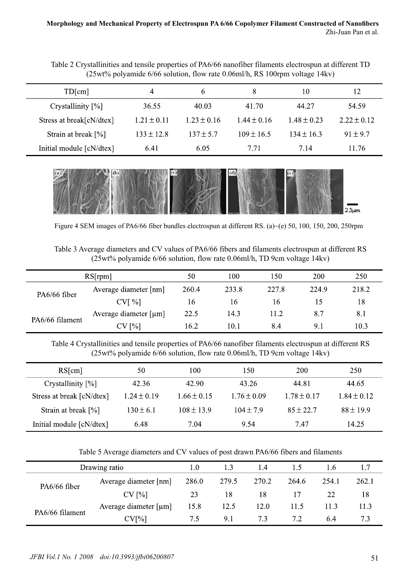Table 2 Crystallinities and tensile properties of PA6/66 nanofiber filaments electrospun at different TD (25wt% polyamide 6/66 solution, flow rate 0.06ml/h, RS 100rpm voltage 14kv)

| TD[cm]                   | 4               | 6               | 8               | 10              | 12              |
|--------------------------|-----------------|-----------------|-----------------|-----------------|-----------------|
| Crystallinity $[\%]$     | 36.55           | 40.03           | 41.70           | 44.27           | 54.59           |
| Stress at break[cN/dtex] | $1.21 \pm 0.11$ | $1.23 \pm 0.16$ | $1.44 \pm 0.16$ | $1.48 \pm 0.23$ | $2.22 \pm 0.12$ |
| Strain at break $[\%]$   | $133 \pm 12.8$  | $137 \pm 5.7$   | $109 \pm 16.5$  | $134 \pm 16.3$  | $91 + 9.7$      |
| Initial module [cN/dtex] | 6.41            | 6.05            | 7.71            | 7.14            | 11.76           |



Figure 4 SEM images of PA6/66 fiber bundles electrospun at different RS. (a)~(e) 50, 100, 150, 200, 250rpm

Table 3 Average diameters and CV values of PA6/66 fibers and filaments electrospun at different RS (25wt% polyamide 6/66 solution, flow rate 0.06ml/h, TD 9cm voltage 14kv)

|                 | RS[rpm]                                | 50    | 100   | 150   | 200   | 250   |
|-----------------|----------------------------------------|-------|-------|-------|-------|-------|
| PA6/66 fiber    | Average diameter [nm]                  | 260.4 | 233.8 | 227.8 | 224.9 | 218.2 |
|                 | CV[%]                                  | 16    | 16    | 16    | 15    | 18    |
|                 | Average diameter $\lceil \mu m \rceil$ | 22.5  | 14.3  | 11.2  | 8.7   | 8.1   |
| PA6/66 filament | CV[%]                                  | 16.2  | 10.1  | 8.4   | 9.1   | 10.3  |

Table 4 Crystallinities and tensile properties of PA6/66 nanofiber filaments electrospun at different RS (25wt% polyamide 6/66 solution, flow rate 0.06ml/h, TD 9cm voltage 14kv)

| RS[cm]                            | 50              | 100             | 150             | 200             | 250             |
|-----------------------------------|-----------------|-----------------|-----------------|-----------------|-----------------|
| Crystallinity $[\%]$              | 42.36           | 42.90           | 43.26           | 44.81           | 44.65           |
| Stress at break [cN/dtex]         | $1.24 \pm 0.19$ | $1.66 \pm 0.15$ | $1.76 \pm 0.09$ | $1.78 \pm 0.17$ | $1.84 \pm 0.12$ |
| Strain at break $\lceil\% \rceil$ | $130 \pm 6.1$   | $108 \pm 13.9$  | $104 \pm 7.9$   | $85 \pm 22.7$   | $88 \pm 19.9$   |
| Initial module [cN/dtex]          | 6.48            | 7.04            | 9.54            | 7.47            | 14.25           |

| Table 5 Average diameters and CV values of post drawn PA6/66 fibers and filaments |  |  |  |  |
|-----------------------------------------------------------------------------------|--|--|--|--|
|                                                                                   |  |  |  |  |

|                 | Drawing ratio           | 1.0   | 1.3   | 1.4   |       | l.6   | 1.7   |
|-----------------|-------------------------|-------|-------|-------|-------|-------|-------|
| PA6/66 fiber    | Average diameter [nm]   | 286.0 | 279.5 | 270.2 | 264.6 | 254.1 | 262.1 |
|                 | CV[%]                   | 23    | 18    | 18    | 17    | 22    | 18    |
| PA6/66 filament | Average diameter $[µm]$ | 15.8  | 12.5  | 12.0  | 11.5  | 11.3  | 11.3  |
|                 | CV[%]                   | 7.5   | 9.1   | 7.3   | 7.2   | 6.4   |       |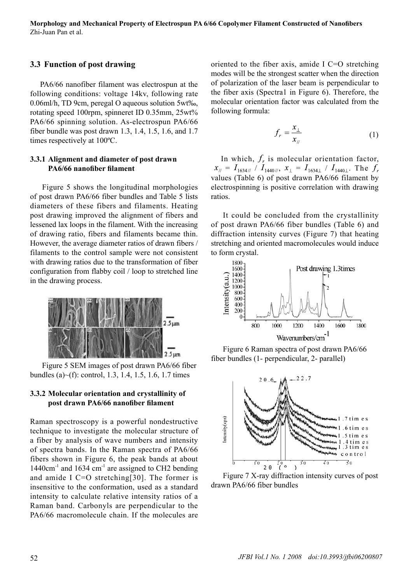## **3.3 Function of post drawing**

PA6/66 nanofiber filament was electrospun at the following conditions: voltage 14kv, following rate 0.06ml/h, TD 9cm, peregal O aqueous solution 5wt‰, rotating speed 100rpm, spinneret ID 0.35mm, 25wt% PA6/66 spinning solution. As-electrospun PA6/66 fiber bundle was post drawn 1.3, 1.4, 1.5, 1.6, and 1.7 times respectively at 100ºC.

#### **3.3.1 Alignment and diameter of post drawn PA6/66 nanofiber filament**

Figure 5 shows the longitudinal morphologies of post drawn PA6/66 fiber bundles and Table 5 lists diameters of these fibers and filaments. Heating post drawing improved the alignment of fibers and lessened lax loops in the filament. With the increasing of drawing ratio, fibers and filaments became thin. However, the average diameter ratios of drawn fibers / filaments to the control sample were not consistent with drawing ratios due to the transformation of fiber configuration from flabby coil / loop to stretched line in the drawing process.



Figure 5 SEM images of post drawn PA6/66 fiber bundles (a)~(f): control, 1.3, 1.4, 1.5, 1.6, 1.7 times

#### **3.3.2 Molecular orientation and crystallinity of post drawn PA6/66 nanofiber filament**

Raman spectroscopy is a powerful nondestructive technique to investigate the molecular structure of a fiber by analysis of wave numbers and intensity of spectra bands. In the Raman spectra of PA6/66 fibers shown in Figure 6, the peak bands at about  $1440 \text{cm}^{-1}$  and  $1634 \text{cm}^{-1}$  are assigned to CH2 bending and amide I C=O stretching[30]. The former is insensitive to the conformation, used as a standard intensity to calculate relative intensity ratios of a Raman band. Carbonyls are perpendicular to the PA6/66 macromolecule chain. If the molecules are oriented to the fiber axis, amide І C=O stretching modes will be the strongest scatter when the direction of polarization of the laser beam is perpendicular to the fiber axis (Spectra1 in Figure 6). Therefore, the molecular orientation factor was calculated from the following formula:

$$
f_r = \frac{x_\perp}{x_{\text{m}}} \tag{1}
$$

In which,  $f_r$  is molecular orientation factor,  $x_{\text{N}} = I_{1634\text{N}}$  /  $I_{1440\text{N}}$ ,  $x_{\text{L}} = I_{1634\text{L}}$  /  $I_{1440\text{L}}$ . The  $f_r$ values (Table 6) of post drawn PA6/66 filament by electrospinning is positive correlation with drawing ratios.

It could be concluded from the crystallinity of post drawn PA6/66 fiber bundles (Table 6) and diffraction intensity curves (Figure 7) that heating stretching and oriented macromolecules would induce to form crystal.



Figure 6 Raman spectra of post drawn PA6/66 fiber bundles (1- perpendicular, 2- parallel)



Figure 7 X-ray diffraction intensity curves of post drawn PA6/66 fiber bundles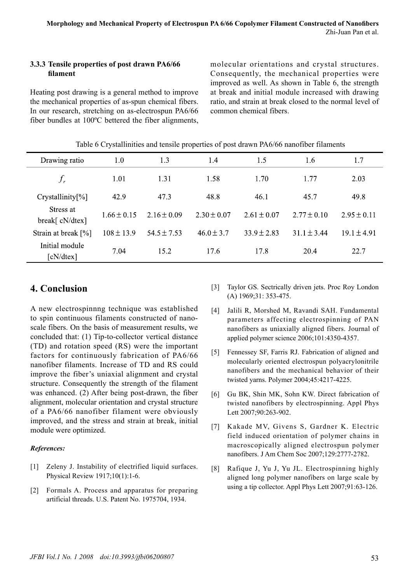#### **3.3.3 Tensile properties of post drawn PA6/66 filament**

Heating post drawing is a general method to improve the mechanical properties of as-spun chemical fibers. In our research, stretching on as-electrospun PA6/66 fiber bundles at 100ºC bettered the fiber alignments, molecular orientations and crystal structures. Consequently, the mechanical properties were improved as well. As shown in Table 6, the strength at break and initial module increased with drawing ratio, and strain at break closed to the normal level of common chemical fibers.

|                              | Table of Crystammittes and tensile properties of post-drawn PA0/00 nanomed mainems |                 |                 |                 |                 |                 |  |
|------------------------------|------------------------------------------------------------------------------------|-----------------|-----------------|-----------------|-----------------|-----------------|--|
| Drawing ratio                | 1.0                                                                                | 1.3             | $1.4^{\circ}$   | 1.5             | 1.6             | 1.7             |  |
| $f_r$                        | 1.01                                                                               | 1.31            | 1.58            | 1.70            | 1.77            | 2.03            |  |
| $Crystallinity[\%]$          | 42.9                                                                               | 47.3            | 48.8            | 46.1            | 45.7            | 49.8            |  |
| Stress at<br>break[ cN/dtex] | $1.66 \pm 0.15$                                                                    | $2.16 \pm 0.09$ | $2.30 \pm 0.07$ | $2.61 \pm 0.07$ | $2.77 \pm 0.10$ | $2.95 \pm 0.11$ |  |
| Strain at break $[\%]$       | $108 \pm 13.9$                                                                     | $54.5 \pm 7.53$ | $46.0 \pm 3.7$  | $33.9 \pm 2.83$ | $31.1 + 3.44$   | $19.1 \pm 4.91$ |  |
| Initial module<br>[cN/dtex]  | 7.04                                                                               | 15.2            | 17.6            | 17.8            | 20.4            | 22.7            |  |

| Table 6 Crystallinities and tensile properties of post drawn PA6/66 nanofiber filaments |  |  |
|-----------------------------------------------------------------------------------------|--|--|
|                                                                                         |  |  |

## **4. Conclusion**

A new electrospinnng technique was established to spin continuous filaments constructed of nanoscale fibers. On the basis of measurement results, we concluded that: (1) Tip-to-collector vertical distance (TD) and rotation speed (RS) were the important factors for continuously fabrication of PA6/66 nanofiber filaments. Increase of TD and RS could improve the fiber's uniaxial alignment and crystal structure. Consequently the strength of the filament was enhanced. (2) After being post-drawn, the fiber alignment, molecular orientation and crystal structure of a PA6/66 nanofiber filament were obviously improved, and the stress and strain at break, initial module were optimized.

#### *References:*

- [1] Zeleny J. Instability of electrified liquid surfaces. Physical Review 1917;10(1):1-6.
- [2] Formals A. Process and apparatus for preparing artificial threads. U.S. Patent No. 1975704, 1934.
- [3] Taylor GS. Sectrically driven jets. Proc Roy London (A) 1969;31: 353-475.
- [4] Jalili R, Morshed M, Ravandi SAH. Fundamental parameters affecting electrospinning of PAN nanofibers as uniaxially aligned fibers. Journal of applied polymer science 2006;101:4350-4357.
- [5] Fennessey SF, Farris RJ. Fabrication of aligned and molecularly oriented electrospun polyacrylonitrile nanofibers and the mechanical behavior of their twisted yarns. Polymer 2004;45:4217-4225.
- [6] Gu BK, Shin MK, Sohn KW. Direct fabrication of twisted nanofibers by electrospinning. Appl Phys Lett 2007;90:263-902.
- [7] Kakade MV, Givens S, Gardner K. Electric field induced orientation of polymer chains in macroscopically aligned electrospun polymer nanofibers. J Am Chem Soc 2007;129:2777-2782.
- [8] Rafique J, Yu J, Yu JL. Electrospinning highly aligned long polymer nanofibers on large scale by using a tip collector. Appl Phys Lett 2007;91:63-126.